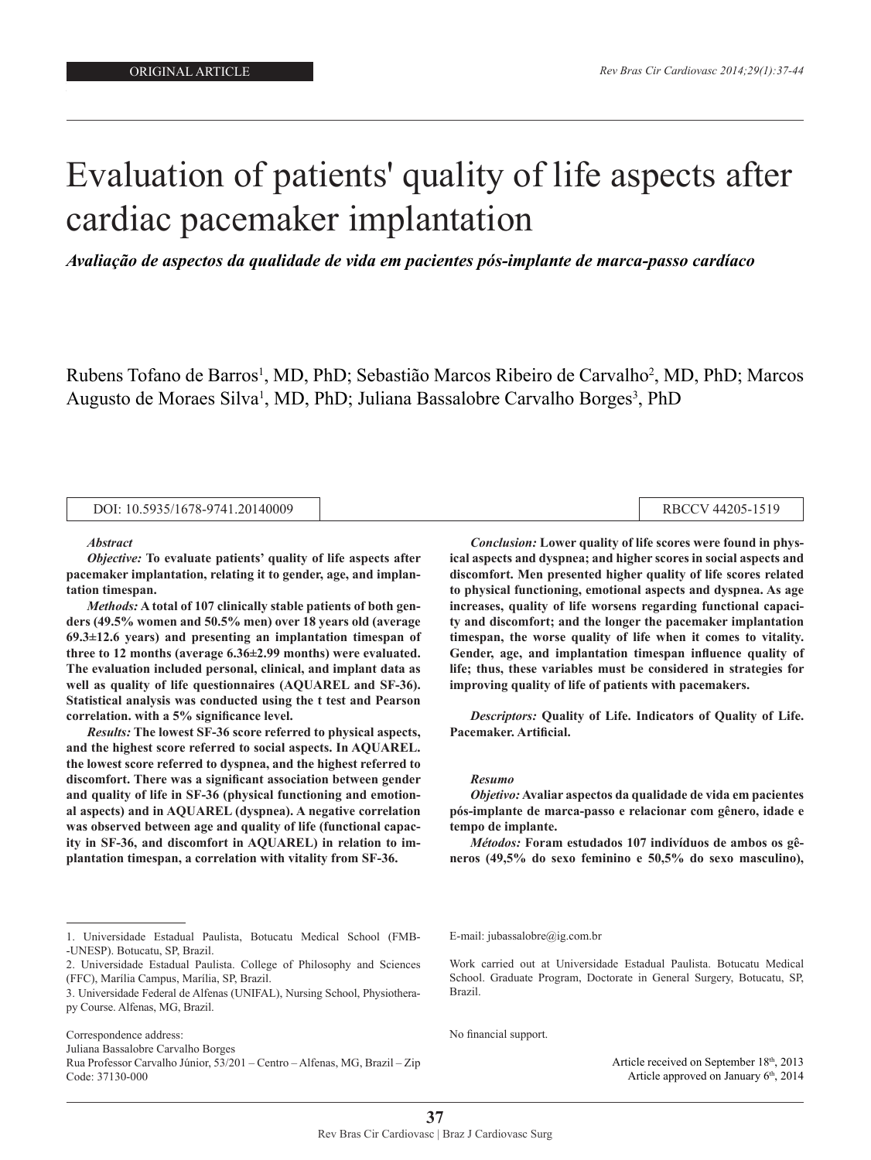p<del>acemaker in pacemaker</del> in

# Evaluation of patients' quality of life aspects after cardiac pacemaker implantation

*Avaliação de aspectos da qualidade de vida em pacientes pós-implante de marca-passo cardíaco*

Rubens Tofano de Barros<sup>1</sup>, MD, PhD; Sebastião Marcos Ribeiro de Carvalho<sup>2</sup>, MD, PhD; Marcos Augusto de Moraes Silva<sup>1</sup>, MD, PhD; Juliana Bassalobre Carvalho Borges<sup>3</sup>, PhD

| DOI: 10.5935/1678-9741.20140009 |  | RBCCV 44205-1519 |
|---------------------------------|--|------------------|
|---------------------------------|--|------------------|

#### *Abstract*

*Objective:* **To evaluate patients' quality of life aspects after pacemaker implantation, relating it to gender, age, and implantation timespan.** 

*Methods:* **A total of 107 clinically stable patients of both genders (49.5% women and 50.5% men) over 18 years old (average 69.3±12.6 years) and presenting an implantation timespan of three to 12 months (average 6.36±2.99 months) were evaluated. The evaluation included personal, clinical, and implant data as well as quality of life questionnaires (AQUAREL and SF-36). Statistical analysis was conducted using the t test and Pearson correlation. with a 5% significance level.** 

*Results:* **The lowest SF-36 score referred to physical aspects, and the highest score referred to social aspects. In AQUAREL. the lowest score referred to dyspnea, and the highest referred to discomfort. There was a significant association between gender and quality of life in SF-36 (physical functioning and emotional aspects) and in AQUAREL (dyspnea). A negative correlation was observed between age and quality of life (functional capacity in SF-36, and discomfort in AQUAREL) in relation to implantation timespan, a correlation with vitality from SF-36.** 

*Conclusion:* **Lower quality of life scores were found in physical aspects and dyspnea; and higher scores in social aspects and discomfort. Men presented higher quality of life scores related to physical functioning, emotional aspects and dyspnea. As age increases, quality of life worsens regarding functional capacity and discomfort; and the longer the pacemaker implantation timespan, the worse quality of life when it comes to vitality. Gender, age, and implantation timespan influence quality of life; thus, these variables must be considered in strategies for improving quality of life of patients with pacemakers.**

*Descriptors:* **Quality of Life. Indicators of Quality of Life. Pacemaker. Artificial.**

#### *Resumo*

*Objetivo:* **Avaliar aspectos da qualidade de vida em pacientes pós-implante de marca-passo e relacionar com gênero, idade e tempo de implante.** 

*Métodos:* **Foram estudados 107 indivíduos de ambos os gêneros (49,5% do sexo feminino e 50,5% do sexo masculino),** 

2. Universidade Estadual Paulista. College of Philosophy and Sciences (FFC), Marília Campus, Marília, SP, Brazil.

Correspondence address:

Juliana Bassalobre Carvalho Borges

Rua Professor Carvalho Júnior, 53/201 – Centro – Alfenas, MG, Brazil – Zip Code: 37130-000

E-mail: jubassalobre@ig.com.br

Work carried out at Universidade Estadual Paulista. Botucatu Medical School. Graduate Program, Doctorate in General Surgery, Botucatu, SP, Brazil.

No financial support.

Article received on September 18th, 2013 Article approved on January 6<sup>th</sup>, 2014

<sup>1.</sup> Universidade Estadual Paulista, Botucatu Medical School (FMB- -UNESP). Botucatu, SP, Brazil.

<sup>3.</sup> Universidade Federal de Alfenas (UNIFAL), Nursing School, Physiotherapy Course. Alfenas, MG, Brazil.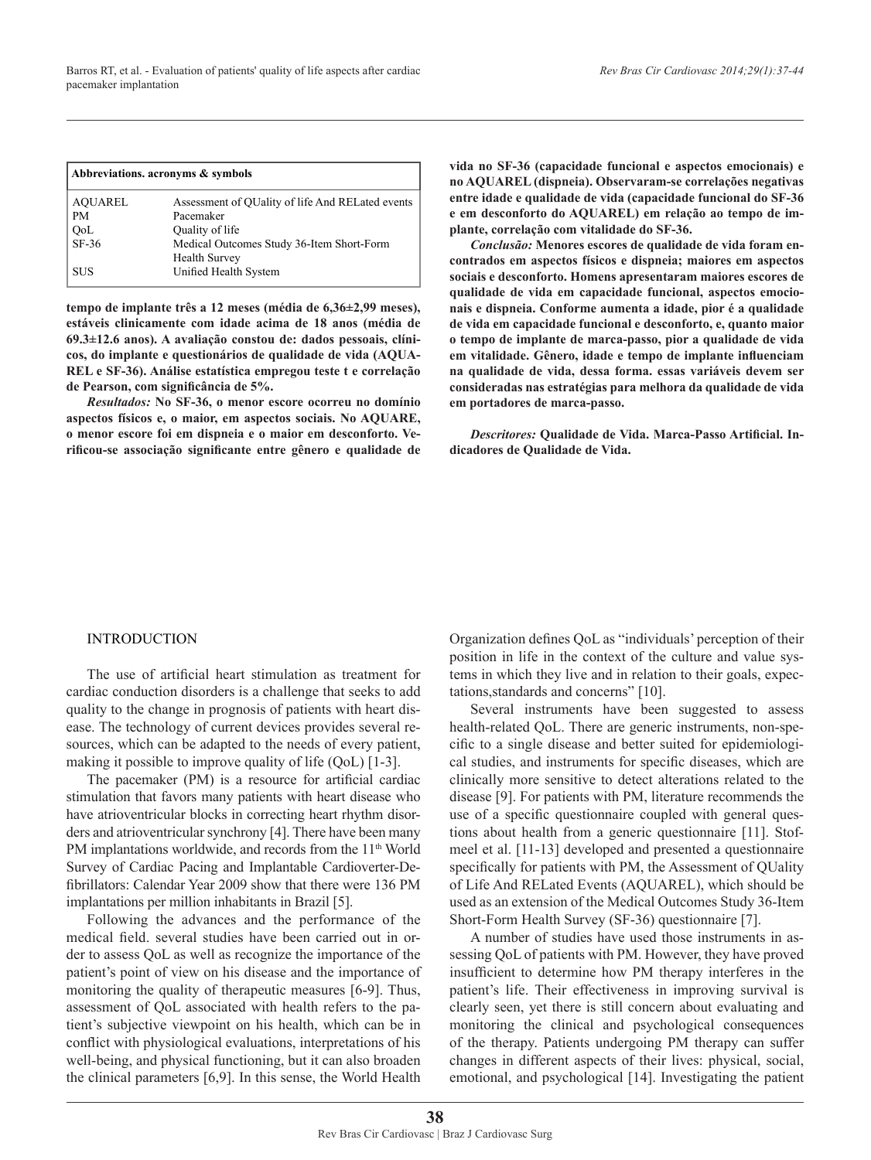| Abbreviations. acronyms & symbols |                                                  |  |  |  |
|-----------------------------------|--------------------------------------------------|--|--|--|
| <b>AQUAREL</b>                    | Assessment of QUality of life And RELated events |  |  |  |
| <b>PM</b>                         | Pacemaker                                        |  |  |  |
| QoL                               | Quality of life                                  |  |  |  |
| $SF-36$                           | Medical Outcomes Study 36-Item Short-Form        |  |  |  |
|                                   | <b>Health Survey</b>                             |  |  |  |
| <b>SUS</b>                        | Unified Health System                            |  |  |  |

**tempo de implante três a 12 meses (média de 6,36±2,99 meses), estáveis clinicamente com idade acima de 18 anos (média de 69.3±12.6 anos). A avaliação constou de: dados pessoais, clínicos, do implante e questionários de qualidade de vida (AQUA-REL e SF-36). Análise estatística empregou teste t e correlação de Pearson, com significância de 5%.** 

*Resultados:* **No SF-36, o menor escore ocorreu no domínio aspectos físicos e, o maior, em aspectos sociais. No AQUARE, o menor escore foi em dispneia e o maior em desconforto. Verificou-se associação significante entre gênero e qualidade de**  **vida no SF-36 (capacidade funcional e aspectos emocionais) e no AQUAREL (dispneia). Observaram-se correlações negativas entre idade e qualidade de vida (capacidade funcional do SF-36 e em desconforto do AQUAREL) em relação ao tempo de implante, correlação com vitalidade do SF-36.** 

*Conclusão:* **Menores escores de qualidade de vida foram encontrados em aspectos físicos e dispneia; maiores em aspectos sociais e desconforto. Homens apresentaram maiores escores de qualidade de vida em capacidade funcional, aspectos emocionais e dispneia. Conforme aumenta a idade, pior é a qualidade de vida em capacidade funcional e desconforto, e, quanto maior o tempo de implante de marca-passo, pior a qualidade de vida em vitalidade. Gênero, idade e tempo de implante influenciam na qualidade de vida, dessa forma. essas variáveis devem ser consideradas nas estratégias para melhora da qualidade de vida em portadores de marca-passo.**

*Descritores:* **Qualidade de Vida. Marca-Passo Artificial. Indicadores de Qualidade de Vida.**

### INTRODUCTION

The use of artificial heart stimulation as treatment for cardiac conduction disorders is a challenge that seeks to add quality to the change in prognosis of patients with heart disease. The technology of current devices provides several resources, which can be adapted to the needs of every patient, making it possible to improve quality of life (QoL) [1-3].

The pacemaker (PM) is a resource for artificial cardiac stimulation that favors many patients with heart disease who have atrioventricular blocks in correcting heart rhythm disorders and atrioventricular synchrony [4]. There have been many PM implantations worldwide, and records from the  $11<sup>th</sup>$  World Survey of Cardiac Pacing and Implantable Cardioverter-Defibrillators: Calendar Year 2009 show that there were 136 PM implantations per million inhabitants in Brazil [5].

Following the advances and the performance of the medical field. several studies have been carried out in order to assess QoL as well as recognize the importance of the patient's point of view on his disease and the importance of monitoring the quality of therapeutic measures [6-9]. Thus, assessment of QoL associated with health refers to the patient's subjective viewpoint on his health, which can be in conflict with physiological evaluations, interpretations of his well-being, and physical functioning, but it can also broaden the clinical parameters [6,9]. In this sense, the World Health

Organization defines QoL as "individuals' perception of their position in life in the context of the culture and value systems in which they live and in relation to their goals, expectations,standards and concerns" [10].

Several instruments have been suggested to assess health-related QoL. There are generic instruments, non-specific to a single disease and better suited for epidemiological studies, and instruments for specific diseases, which are clinically more sensitive to detect alterations related to the disease [9]. For patients with PM, literature recommends the use of a specific questionnaire coupled with general questions about health from a generic questionnaire [11]. Stofmeel et al. [11-13] developed and presented a questionnaire specifically for patients with PM, the Assessment of QUality of Life And RELated Events (AQUAREL), which should be used as an extension of the Medical Outcomes Study 36-Item Short-Form Health Survey (SF-36) questionnaire [7].

A number of studies have used those instruments in assessing QoL of patients with PM. However, they have proved insufficient to determine how PM therapy interferes in the patient's life. Their effectiveness in improving survival is clearly seen, yet there is still concern about evaluating and monitoring the clinical and psychological consequences of the therapy. Patients undergoing PM therapy can suffer changes in different aspects of their lives: physical, social, emotional, and psychological [14]. Investigating the patient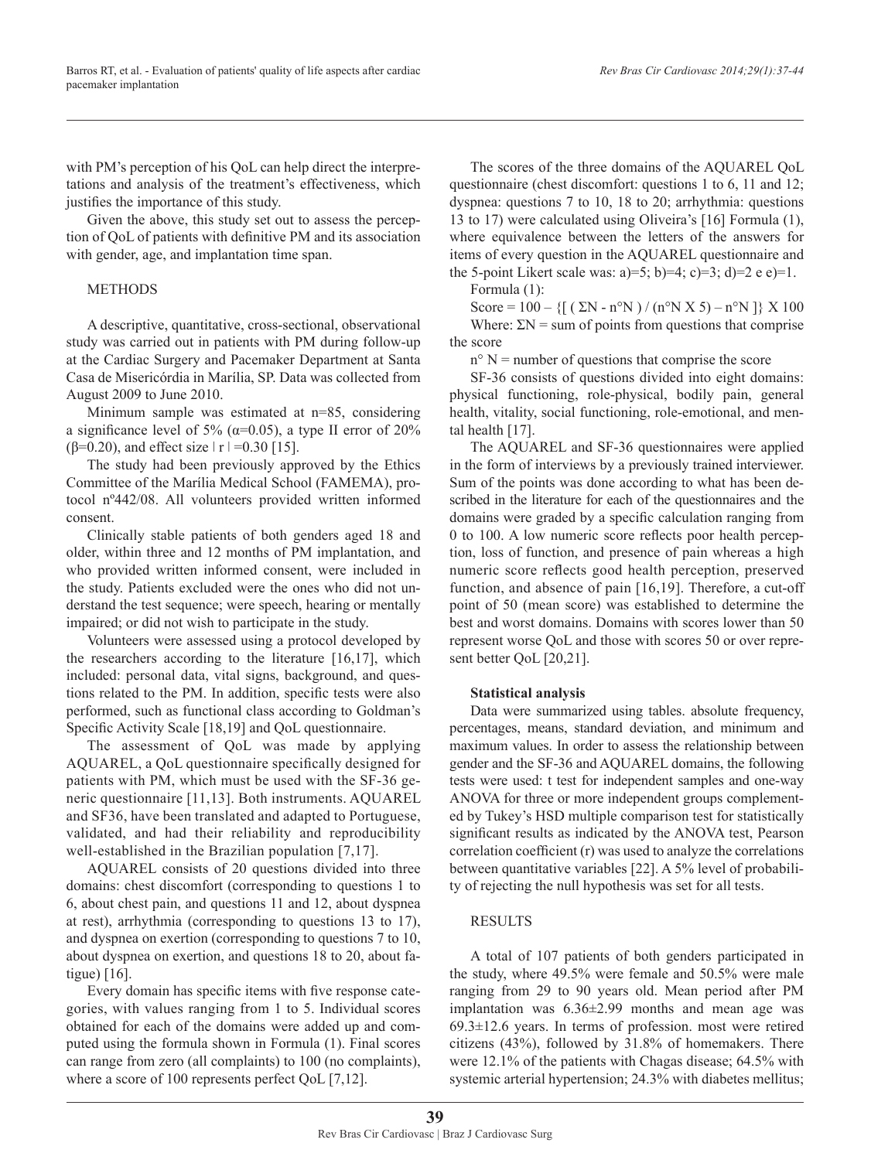with PM's perception of his QoL can help direct the interpretations and analysis of the treatment's effectiveness, which justifies the importance of this study.

Given the above, this study set out to assess the perception of QoL of patients with definitive PM and its association with gender, age, and implantation time span.

# METHODS

A descriptive, quantitative, cross-sectional, observational study was carried out in patients with PM during follow-up at the Cardiac Surgery and Pacemaker Department at Santa Casa de Misericórdia in Marília, SP. Data was collected from August 2009 to June 2010.

Minimum sample was estimated at n=85, considering a significance level of 5% ( $α=0.05$ ), a type II error of 20% ( $\beta$ =0.20), and effect size  $\vert$  r  $\vert$  =0.30 [15].

The study had been previously approved by the Ethics Committee of the Marília Medical School (FAMEMA), protocol nº442/08. All volunteers provided written informed consent.

Clinically stable patients of both genders aged 18 and older, within three and 12 months of PM implantation, and who provided written informed consent, were included in the study. Patients excluded were the ones who did not understand the test sequence; were speech, hearing or mentally impaired; or did not wish to participate in the study.

Volunteers were assessed using a protocol developed by the researchers according to the literature [16,17], which included: personal data, vital signs, background, and questions related to the PM. In addition, specific tests were also performed, such as functional class according to Goldman's Specific Activity Scale [18,19] and QoL questionnaire.

The assessment of QoL was made by applying AQUAREL, a QoL questionnaire specifically designed for patients with PM, which must be used with the SF-36 generic questionnaire [11,13]. Both instruments. AQUAREL and SF36, have been translated and adapted to Portuguese, validated, and had their reliability and reproducibility well-established in the Brazilian population [7,17].

AQUAREL consists of 20 questions divided into three domains: chest discomfort (corresponding to questions 1 to 6, about chest pain, and questions 11 and 12, about dyspnea at rest), arrhythmia (corresponding to questions 13 to 17), and dyspnea on exertion (corresponding to questions 7 to 10, about dyspnea on exertion, and questions 18 to 20, about fatigue) [16].

Every domain has specific items with five response categories, with values ranging from 1 to 5. Individual scores obtained for each of the domains were added up and computed using the formula shown in Formula (1). Final scores can range from zero (all complaints) to 100 (no complaints), where a score of 100 represents perfect QoL [7,12].

The scores of the three domains of the AQUAREL QoL questionnaire (chest discomfort: questions 1 to 6, 11 and 12; dyspnea: questions 7 to 10, 18 to 20; arrhythmia: questions 13 to 17) were calculated using Oliveira's [16] Formula (1), where equivalence between the letters of the answers for items of every question in the AQUAREL questionnaire and the 5-point Likert scale was: a)=5; b)=4; c)=3; d)=2 e e)=1.

Formula 
$$
(1)
$$
:

Score =  $100 - \{[(\Sigma N - n^o N)/(n^o N X 5) - n^o N]\} X 100$ Where:  $\Sigma N$  = sum of points from questions that comprise

the score

 $n<sup>o</sup>$  N = number of questions that comprise the score

SF-36 consists of questions divided into eight domains: physical functioning, role-physical, bodily pain, general health, vitality, social functioning, role-emotional, and mental health [17].

The AQUAREL and SF-36 questionnaires were applied in the form of interviews by a previously trained interviewer. Sum of the points was done according to what has been described in the literature for each of the questionnaires and the domains were graded by a specific calculation ranging from 0 to 100. A low numeric score reflects poor health perception, loss of function, and presence of pain whereas a high numeric score reflects good health perception, preserved function, and absence of pain [16,19]. Therefore, a cut-off point of 50 (mean score) was established to determine the best and worst domains. Domains with scores lower than 50 represent worse QoL and those with scores 50 or over represent better QoL [20,21].

# **Statistical analysis**

Data were summarized using tables. absolute frequency, percentages, means, standard deviation, and minimum and maximum values. In order to assess the relationship between gender and the SF-36 and AQUAREL domains, the following tests were used: t test for independent samples and one-way ANOVA for three or more independent groups complemented by Tukey's HSD multiple comparison test for statistically significant results as indicated by the ANOVA test, Pearson correlation coefficient (r) was used to analyze the correlations between quantitative variables [22]. A 5% level of probability of rejecting the null hypothesis was set for all tests.

# **RESULTS**

A total of 107 patients of both genders participated in the study, where 49.5% were female and 50.5% were male ranging from 29 to 90 years old. Mean period after PM implantation was 6.36±2.99 months and mean age was 69.3±12.6 years. In terms of profession. most were retired citizens (43%), followed by 31.8% of homemakers. There were 12.1% of the patients with Chagas disease; 64.5% with systemic arterial hypertension; 24.3% with diabetes mellitus;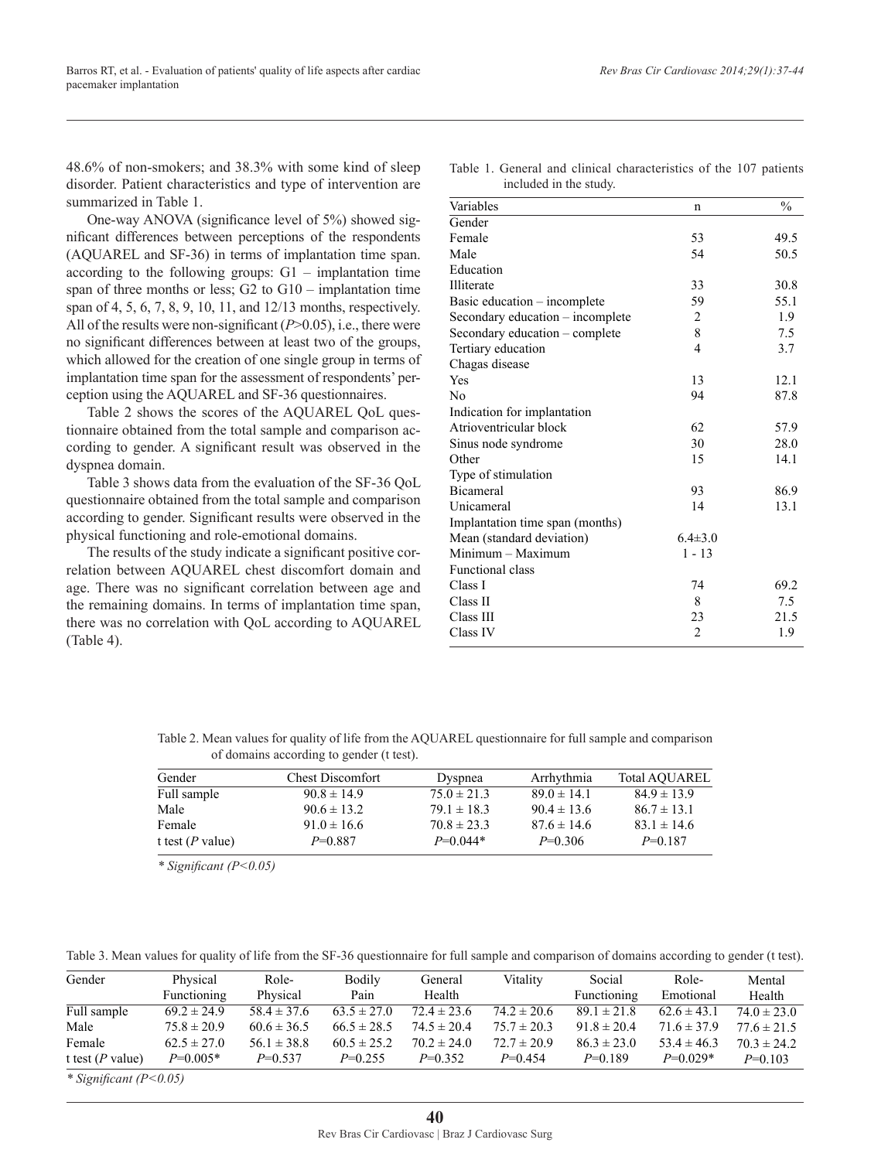48.6% of non-smokers; and 38.3% with some kind of sleep disorder. Patient characteristics and type of intervention are summarized in Table 1.

One-way ANOVA (significance level of 5%) showed significant differences between perceptions of the respondents (AQUAREL and SF-36) in terms of implantation time span. according to the following groups: G1 – implantation time span of three months or less; G2 to G10 – implantation time span of 4, 5, 6, 7, 8, 9, 10, 11, and 12/13 months, respectively. All of the results were non-significant (*P*>0.05), i.e., there were no significant differences between at least two of the groups, which allowed for the creation of one single group in terms of implantation time span for the assessment of respondents' perception using the AQUAREL and SF-36 questionnaires.

Table 2 shows the scores of the AQUAREL QoL questionnaire obtained from the total sample and comparison according to gender. A significant result was observed in the dyspnea domain.

Table 3 shows data from the evaluation of the SF-36 QoL questionnaire obtained from the total sample and comparison according to gender. Significant results were observed in the physical functioning and role-emotional domains.

The results of the study indicate a significant positive correlation between AQUAREL chest discomfort domain and age. There was no significant correlation between age and the remaining domains. In terms of implantation time span, there was no correlation with QoL according to AQUAREL (Table 4).

Table 1. General and clinical characteristics of the 107 patients included in the study.

| Variables                        | n              | $\frac{0}{0}$ |
|----------------------------------|----------------|---------------|
| Gender                           |                |               |
| Female                           | 53             | 49.5          |
| Male                             | 54             | 50.5          |
| Education                        |                |               |
| Illiterate                       | 33             | 30.8          |
| Basic education – incomplete     | 59             | 55.1          |
| Secondary education – incomplete | 2              | 1.9           |
| Secondary education – complete   | 8              | 7.5           |
| Tertiary education               | $\overline{4}$ | 3.7           |
| Chagas disease                   |                |               |
| Yes                              | 13             | 12.1          |
| N <sub>0</sub>                   | 94             | 87.8          |
| Indication for implantation      |                |               |
| Atrioventricular block           | 62             | 57.9          |
| Sinus node syndrome              | 30             | 28.0          |
| Other                            | 15             | 14.1          |
| Type of stimulation              |                |               |
| <b>Bicameral</b>                 | 93             | 86.9          |
| Unicameral                       | 14             | 13.1          |
| Implantation time span (months)  |                |               |
| Mean (standard deviation)        | $6.4 \pm 3.0$  |               |
| $Minimum - Maximum$              | $1 - 13$       |               |
| Functional class                 |                |               |
| Class I                          | 74             | 69.2          |
| Class II                         | 8              | 7.5           |
| Class III                        | 23             | 21.5          |
| Class IV                         | $\overline{2}$ | 1.9           |
|                                  |                |               |

| Table 2. Mean values for quality of life from the AQUAREL questionnaire for full sample and comparison |  |
|--------------------------------------------------------------------------------------------------------|--|
| of domains according to gender (t test).                                                               |  |

| Gender           | <b>Chest Discomfort</b> | Dyspnea         | Arrhythmia      | <b>Total AOUAREL</b> |
|------------------|-------------------------|-----------------|-----------------|----------------------|
| Full sample      | $90.8 \pm 14.9$         | $75.0 \pm 21.3$ | $89.0 \pm 14.1$ | $84.9 \pm 13.9$      |
| Male             | $90.6 \pm 13.2$         | $79.1 \pm 18.3$ | $90.4 \pm 13.6$ | $86.7 \pm 13.1$      |
| Female           | $91.0 \pm 16.6$         | $70.8 \pm 23.3$ | $87.6 \pm 14.6$ | $83.1 \pm 14.6$      |
| t test (P value) | $P=0.887$               | $P=0.044*$      | $P=0.306$       | $P=0.187$            |

*\* Significant (P<0.05)*

Table 3. Mean values for quality of life from the SF-36 questionnaire for full sample and comparison of domains according to gender (t test).

| Gender              | Physical        | Role-           | Bodily          | General         | Vitality        | Social          | Role-           | Mental          |
|---------------------|-----------------|-----------------|-----------------|-----------------|-----------------|-----------------|-----------------|-----------------|
|                     | Functioning     | Physical        | Pain            | Health          |                 | Functioning     | Emotional       | Health          |
| Full sample         | $69.2 \pm 24.9$ | $58.4 \pm 37.6$ | $63.5 \pm 27.0$ | $72.4 \pm 23.6$ | $74.2 \pm 20.6$ | $89.1 \pm 21.8$ | $62.6 \pm 43.1$ | $74.0 \pm 23.0$ |
| Male                | $75.8 \pm 20.9$ | $60.6 \pm 36.5$ | $66.5 \pm 28.5$ | $74.5 \pm 20.4$ | $75.7 \pm 20.3$ | $91.8 \pm 20.4$ | $71.6 \pm 37.9$ | $77.6 \pm 21.5$ |
| Female              | $62.5 \pm 27.0$ | $56.1 \pm 38.8$ | $60.5 \pm 25.2$ | $70.2 \pm 24.0$ | $72.7 \pm 20.9$ | $86.3 \pm 23.0$ | $53.4 \pm 46.3$ | $70.3 \pm 24.2$ |
| t test ( $P$ value) | $P=0.005*$      | $P=0.537$       | $P=0.255$       | $P=0.352$       | $P=0.454$       | $P=0$ 189       | $P=0.029*$      | $P=0.103$       |

*\* Significant (P<0.05)*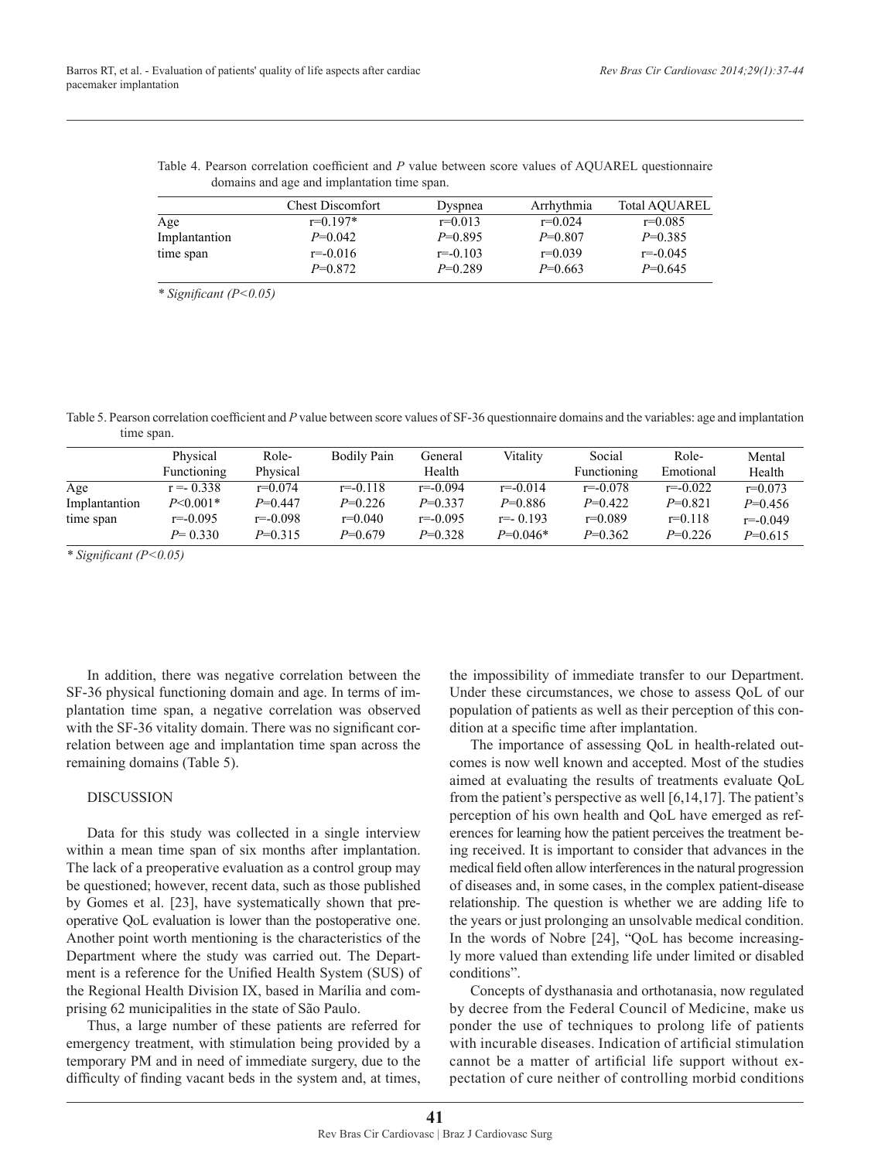|  | Table 4. Pearson correlation coefficient and P value between score values of AQUAREL questionnaire |  |  |  |  |  |
|--|----------------------------------------------------------------------------------------------------|--|--|--|--|--|
|  | domains and age and implantation time span.                                                        |  |  |  |  |  |

| <b>Chest Discomfort</b> | <b>Dyspnea</b> | Arrhythmia | <b>Total AOUAREL</b> |
|-------------------------|----------------|------------|----------------------|
| $r=0.197*$              | $r=0.013$      | $r=0.024$  | $r=0.085$            |
| $P=0.042$               | $P=0.895$      | $P=0.807$  | $P=0.385$            |
| $r = -0.016$            | $r = -0.103$   | $r=0.039$  | $r = -0.045$         |
| $P=0.872$               | $P=0.289$      | $P=0.663$  | $P=0.645$            |
|                         |                |            |                      |

*\* Significant (P<0.05)*

Table 5. Pearson correlation coefficient and *P* value between score values of SF-36 questionnaire domains and the variables: age and implantation time span.

|               | Physical       | Role-        | <b>Bodily Pain</b> | General      | Vitality     | Social       | Role-        | Mental       |
|---------------|----------------|--------------|--------------------|--------------|--------------|--------------|--------------|--------------|
|               | Functioning    | Physical     |                    | Health       |              | Functioning  | Emotional    | Health       |
| Age           | $r = -0.338$   | $r=0.074$    | $r = -0.118$       | $r = -0.094$ | $r = -0.014$ | $r = -0.078$ | $r = -0.022$ | $r=0.073$    |
| Implantantion | $P \le 0.001*$ | $P=0.447$    | $P=0.226$          | $P=0.337$    | $P=0.886$    | $P=0.422$    | $P=0.821$    | $P=0.456$    |
| time span     | $r = -0.095$   | $r = -0.098$ | $r=0.040$          | $r = -0.095$ | $r = -0.193$ | $r=0.089$    | $r=0.118$    | $r = -0.049$ |
|               | $P = 0.330$    | $P=0.315$    | $P=0.679$          | $P=0.328$    | $P=0.046*$   | $P=0.362$    | $P=0.226$    | $P=0.615$    |

*\* Significant (P<0.05)*

In addition, there was negative correlation between the SF-36 physical functioning domain and age. In terms of implantation time span, a negative correlation was observed with the SF-36 vitality domain. There was no significant correlation between age and implantation time span across the remaining domains (Table 5).

## DISCUSSION

Data for this study was collected in a single interview within a mean time span of six months after implantation. The lack of a preoperative evaluation as a control group may be questioned; however, recent data, such as those published by Gomes et al. [23], have systematically shown that preoperative QoL evaluation is lower than the postoperative one. Another point worth mentioning is the characteristics of the Department where the study was carried out. The Department is a reference for the Unified Health System (SUS) of the Regional Health Division IX, based in Marília and comprising 62 municipalities in the state of São Paulo.

Thus, a large number of these patients are referred for emergency treatment, with stimulation being provided by a temporary PM and in need of immediate surgery, due to the difficulty of finding vacant beds in the system and, at times,

the impossibility of immediate transfer to our Department. Under these circumstances, we chose to assess QoL of our population of patients as well as their perception of this condition at a specific time after implantation.

The importance of assessing QoL in health-related outcomes is now well known and accepted. Most of the studies aimed at evaluating the results of treatments evaluate QoL from the patient's perspective as well [6,14,17]. The patient's perception of his own health and QoL have emerged as references for learning how the patient perceives the treatment being received. It is important to consider that advances in the medical field often allow interferences in the natural progression of diseases and, in some cases, in the complex patient-disease relationship. The question is whether we are adding life to the years or just prolonging an unsolvable medical condition. In the words of Nobre [24], "QoL has become increasingly more valued than extending life under limited or disabled conditions".

Concepts of dysthanasia and orthotanasia, now regulated by decree from the Federal Council of Medicine, make us ponder the use of techniques to prolong life of patients with incurable diseases. Indication of artificial stimulation cannot be a matter of artificial life support without expectation of cure neither of controlling morbid conditions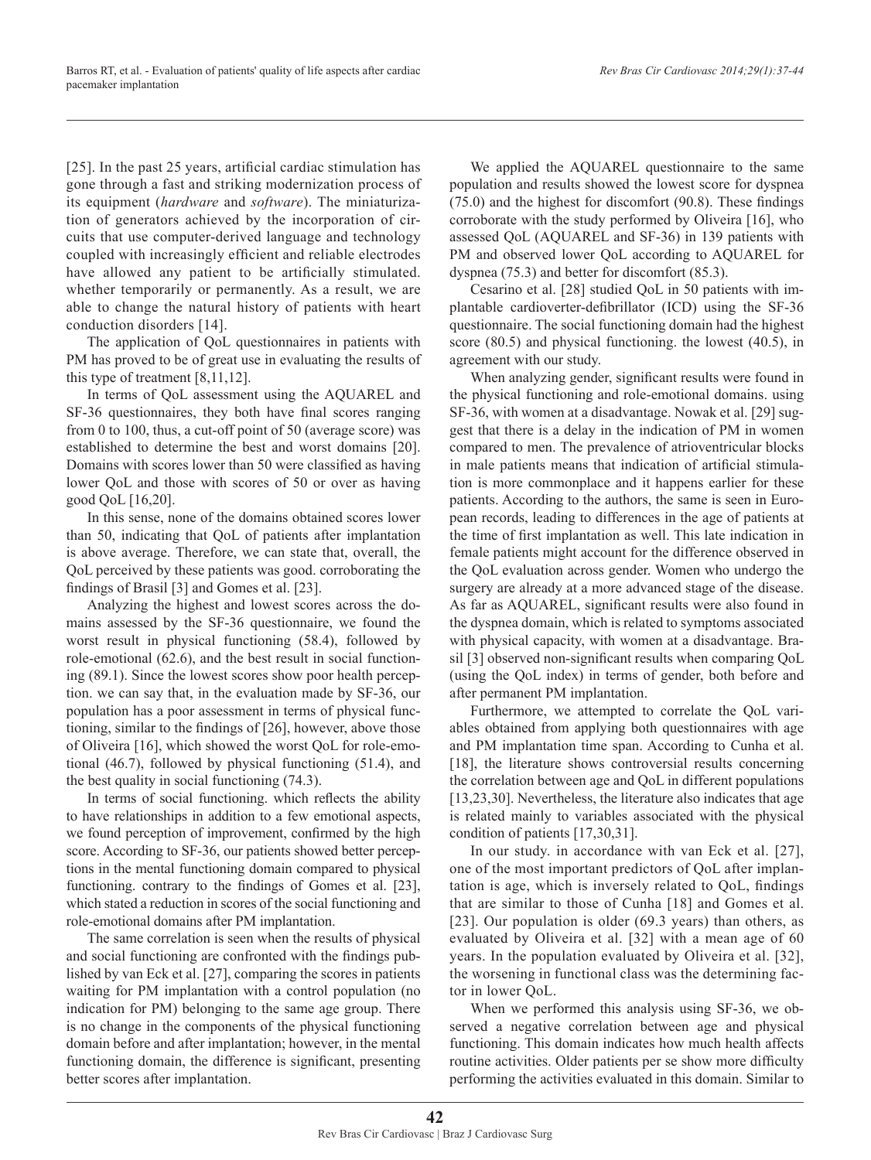[25]. In the past 25 years, artificial cardiac stimulation has gone through a fast and striking modernization process of its equipment (*hardware* and *software*). The miniaturization of generators achieved by the incorporation of circuits that use computer-derived language and technology coupled with increasingly efficient and reliable electrodes have allowed any patient to be artificially stimulated. whether temporarily or permanently. As a result, we are able to change the natural history of patients with heart conduction disorders [14].

The application of QoL questionnaires in patients with PM has proved to be of great use in evaluating the results of this type of treatment [8,11,12].

In terms of QoL assessment using the AQUAREL and SF-36 questionnaires, they both have final scores ranging from 0 to 100, thus, a cut-off point of 50 (average score) was established to determine the best and worst domains [20]. Domains with scores lower than 50 were classified as having lower QoL and those with scores of 50 or over as having good QoL [16,20].

In this sense, none of the domains obtained scores lower than 50, indicating that QoL of patients after implantation is above average. Therefore, we can state that, overall, the QoL perceived by these patients was good. corroborating the findings of Brasil [3] and Gomes et al. [23].

Analyzing the highest and lowest scores across the domains assessed by the SF-36 questionnaire, we found the worst result in physical functioning (58.4), followed by role-emotional (62.6), and the best result in social functioning (89.1). Since the lowest scores show poor health perception. we can say that, in the evaluation made by SF-36, our population has a poor assessment in terms of physical functioning, similar to the findings of [26], however, above those of Oliveira [16], which showed the worst QoL for role-emotional (46.7), followed by physical functioning (51.4), and the best quality in social functioning (74.3).

In terms of social functioning. which reflects the ability to have relationships in addition to a few emotional aspects, we found perception of improvement, confirmed by the high score. According to SF-36, our patients showed better perceptions in the mental functioning domain compared to physical functioning. contrary to the findings of Gomes et al. [23], which stated a reduction in scores of the social functioning and role-emotional domains after PM implantation.

The same correlation is seen when the results of physical and social functioning are confronted with the findings published by van Eck et al. [27], comparing the scores in patients waiting for PM implantation with a control population (no indication for PM) belonging to the same age group. There is no change in the components of the physical functioning domain before and after implantation; however, in the mental functioning domain, the difference is significant, presenting better scores after implantation.

We applied the AQUAREL questionnaire to the same population and results showed the lowest score for dyspnea (75.0) and the highest for discomfort (90.8). These findings corroborate with the study performed by Oliveira [16], who assessed QoL (AQUAREL and SF-36) in 139 patients with PM and observed lower QoL according to AQUAREL for dyspnea (75.3) and better for discomfort (85.3).

Cesarino et al. [28] studied QoL in 50 patients with implantable cardioverter-defibrillator (ICD) using the SF-36 questionnaire. The social functioning domain had the highest score (80.5) and physical functioning. the lowest (40.5), in agreement with our study.

When analyzing gender, significant results were found in the physical functioning and role-emotional domains. using SF-36, with women at a disadvantage. Nowak et al. [29] suggest that there is a delay in the indication of PM in women compared to men. The prevalence of atrioventricular blocks in male patients means that indication of artificial stimulation is more commonplace and it happens earlier for these patients. According to the authors, the same is seen in European records, leading to differences in the age of patients at the time of first implantation as well. This late indication in female patients might account for the difference observed in the QoL evaluation across gender. Women who undergo the surgery are already at a more advanced stage of the disease. As far as AQUAREL, significant results were also found in the dyspnea domain, which is related to symptoms associated with physical capacity, with women at a disadvantage. Brasil [3] observed non-significant results when comparing QoL (using the QoL index) in terms of gender, both before and after permanent PM implantation.

Furthermore, we attempted to correlate the QoL variables obtained from applying both questionnaires with age and PM implantation time span. According to Cunha et al. [18], the literature shows controversial results concerning the correlation between age and QoL in different populations [13,23,30]. Nevertheless, the literature also indicates that age is related mainly to variables associated with the physical condition of patients [17,30,31].

In our study. in accordance with van Eck et al. [27], one of the most important predictors of QoL after implantation is age, which is inversely related to QoL, findings that are similar to those of Cunha [18] and Gomes et al. [23]. Our population is older (69.3 years) than others, as evaluated by Oliveira et al. [32] with a mean age of 60 years. In the population evaluated by Oliveira et al. [32], the worsening in functional class was the determining factor in lower QoL.

When we performed this analysis using SF-36, we observed a negative correlation between age and physical functioning. This domain indicates how much health affects routine activities. Older patients per se show more difficulty performing the activities evaluated in this domain. Similar to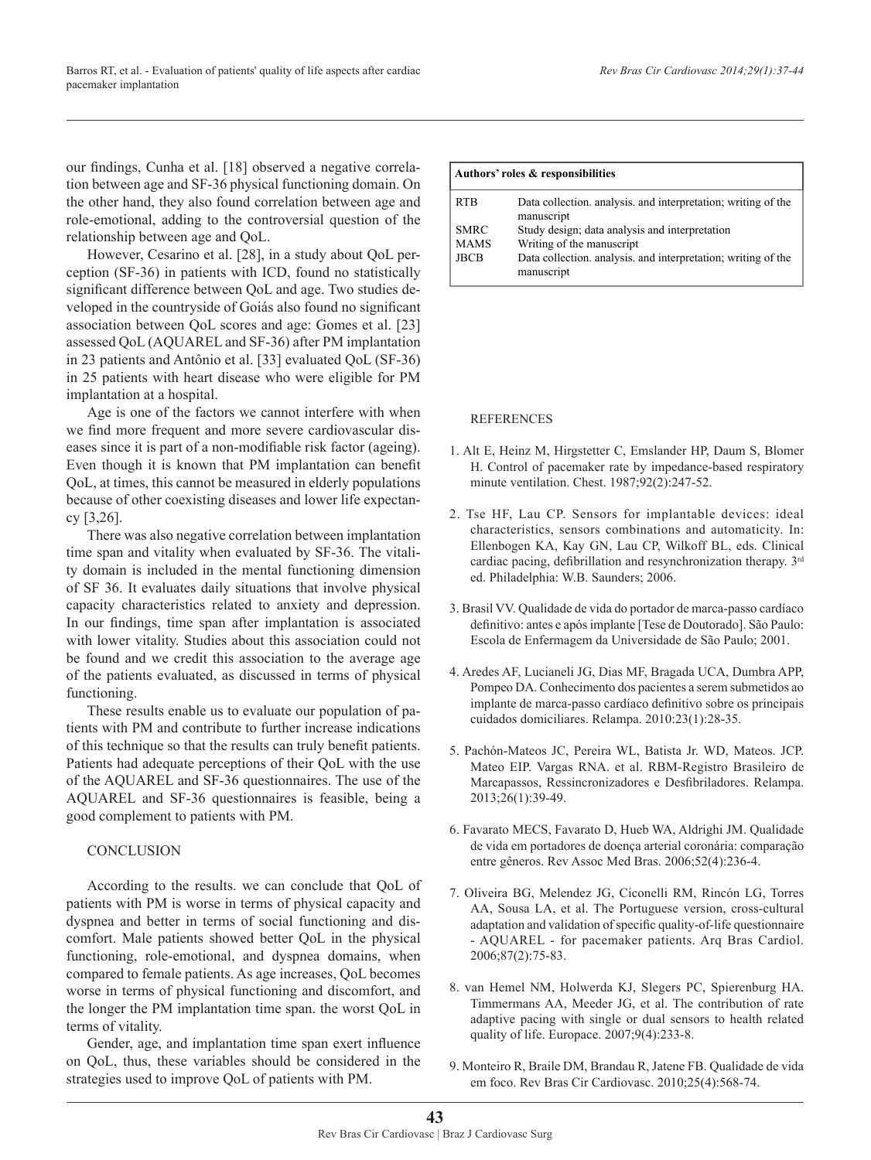our findings, Cunha et al. [18] observed a negative correlation between age and SF-36 physical functioning domain. On the other hand, they also found correlation between age and role-emotional, adding to the controversial question of the relationship between age and QoL.

However, Cesarino et al. [28], in a study about QoL perception (SF-36) in patients with ICD, found no statistically significant difference between QoL and age. Two studies developed in the countryside of Goiás also found no significant association between QoL scores and age: Gomes et al. [23] assessed QoL (AQUAREL and SF-36) after PM implantation in 23 patients and Antônio et al. [33] evaluated QoL (SF-36) in 25 patients with heart disease who were eligible for PM implantation at a hospital.

Age is one of the factors we cannot interfere with when we find more frequent and more severe cardiovascular diseases since it is part of a non-modifiable risk factor (ageing). Even though it is known that PM implantation can benefit QoL, at times, this cannot be measured in elderly populations because of other coexisting diseases and lower life expectancy [3,26].

There was also negative correlation between implantation time span and vitality when evaluated by SF-36. The vitality domain is included in the mental functioning dimension of SF 36. It evaluates daily situations that involve physical capacity characteristics related to anxiety and depression. In our findings, time span after implantation is associated with lower vitality. Studies about this association could not be found and we credit this association to the average age of the patients evaluated, as discussed in terms of physical functioning.

These results enable us to evaluate our population of patients with PM and contribute to further increase indications of this technique so that the results can truly benefit patients. Patients had adequate perceptions of their QoL with the use of the AQUAREL and SF-36 questionnaires. The use of the AQUAREL and SF-36 questionnaires is feasible, being a good complement to patients with PM.

## **CONCLUSION**

According to the results. we can conclude that QoL of patients with PM is worse in terms of physical capacity and dyspnea and better in terms of social functioning and discomfort. Male patients showed better QoL in the physical functioning, role-emotional, and dyspnea domains, when compared to female patients. As age increases, QoL becomes worse in terms of physical functioning and discomfort, and the longer the PM implantation time span. the worst QoL in terms of vitality.

Gender, age, and implantation time span exert influence on QoL, thus, these variables should be considered in the strategies used to improve QoL of patients with PM.

|                            | Authors' roles & responsibilities                                           |  |  |  |  |  |
|----------------------------|-----------------------------------------------------------------------------|--|--|--|--|--|
| <b>RTB</b>                 | Data collection, analysis, and interpretation; writing of the<br>manuscript |  |  |  |  |  |
| <b>SMRC</b><br><b>MAMS</b> | Study design; data analysis and interpretation<br>Writing of the manuscript |  |  |  |  |  |
| <b>JBCB</b>                | Data collection, analysis, and interpretation; writing of the<br>manuscript |  |  |  |  |  |

## **REFERENCES**

- 1. Alt E, Heinz M, Hirgstetter C, Emslander HP, Daum S, Blomer H. Control of pacemaker rate by impedance-based respiratory minute ventilation. Chest. 1987;92(2):247-52.
- 2. Tse HF, Lau CP. Sensors for implantable devices: ideal characteristics, sensors combinations and automaticity. In: Ellenbogen KA, Kay GN, Lau CP, Wilkoff BL, eds. Clinical cardiac pacing, defibrillation and resynchronization therapy. 3rd ed. Philadelphia: W.B. Saunders; 2006.
- 3. Brasil VV. Qualidade de vida do portador de marca-passo cardíaco definitivo: antes e após implante [Tese de Doutorado]. São Paulo: Escola de Enfermagem da Universidade de São Paulo; 2001.
- 4. Aredes AF, Lucianeli JG, Dias MF, Bragada UCA, Dumbra APP, Pompeo DA. Conhecimento dos pacientes a serem submetidos ao implante de marca-passo cardíaco definitivo sobre os principais cuidados domiciliares. Relampa. 2010:23(1):28-35.
- 5. Pachón-Mateos JC, Pereira WL, Batista Jr. WD, Mateos. JCP. Mateo EIP. Vargas RNA. et al. RBM-Registro Brasileiro de Marcapassos, Ressincronizadores e Desfibriladores. Relampa. 2013;26(1):39-49.
- 6. Favarato MECS, Favarato D, Hueb WA, Aldrighi JM. Qualidade de vida em portadores de doença arterial coronária: comparação entre gêneros. Rev Assoc Med Bras. 2006;52(4):236-4.
- 7. Oliveira BG, Melendez JG, Ciconelli RM, Rincón LG, Torres AA, Sousa LA, et al. The Portuguese version, cross-cultural adaptation and validation of specific quality-of-life questionnaire - AQUAREL - for pacemaker patients. Arq Bras Cardiol. 2006;87(2):75-83.
- 8. van Hemel NM, Holwerda KJ, Slegers PC, Spierenburg HA. Timmermans AA, Meeder JG, et al. The contribution of rate adaptive pacing with single or dual sensors to health related quality of life. Europace. 2007;9(4):233-8.
- 9. Monteiro R, Braile DM, Brandau R, Jatene FB. Qualidade de vida em foco. Rev Bras Cir Cardiovasc. 2010;25(4):568-74.